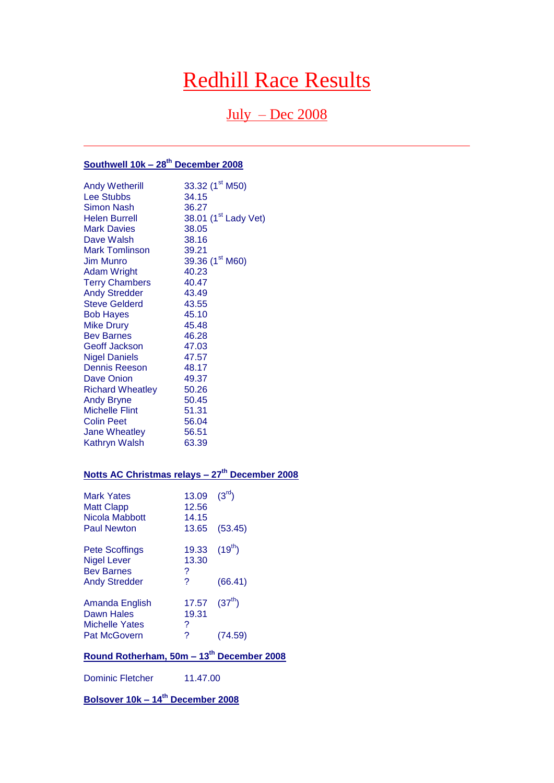# Redhill Race Results

# $July - Dec 2008$

# **Southwell 10k – 28th December 2008**

| <b>Andy Wetherill</b>   | 33.32 (1 <sup>st</sup> M50)      |
|-------------------------|----------------------------------|
| <b>Lee Stubbs</b>       | 34.15                            |
| <b>Simon Nash</b>       | 36.27                            |
| <b>Helen Burrell</b>    | 38.01 (1 <sup>st</sup> Lady Vet) |
| <b>Mark Davies</b>      | 38.05                            |
| Dave Walsh              | 38.16                            |
| <b>Mark Tomlinson</b>   | 39.21                            |
| <b>Jim Munro</b>        | 39.36 (1 <sup>st</sup> M60)      |
| <b>Adam Wright</b>      | 40.23                            |
| <b>Terry Chambers</b>   | 40.47                            |
| <b>Andy Stredder</b>    | 43.49                            |
| <b>Steve Gelderd</b>    | 43.55                            |
| <b>Bob Hayes</b>        | 45.10                            |
| <b>Mike Drury</b>       | 45.48                            |
| <b>Bev Barnes</b>       | 46.28                            |
| <b>Geoff Jackson</b>    | 47.03                            |
| <b>Nigel Daniels</b>    | 47.57                            |
| <b>Dennis Reeson</b>    | - 48.17                          |
| Dave Onion              | 49.37                            |
| <b>Richard Wheatley</b> | 50.26                            |
| <b>Andy Bryne</b>       | 50.45                            |
| <b>Michelle Flint</b>   | 51.31                            |
| <b>Colin Peet</b>       | 56.04                            |
| <b>Jane Wheatley</b>    | 56.51                            |
| <b>Kathryn Walsh</b>    | 63.39                            |

# **Notts AC Christmas relays – 27th December 2008**

| <b>Mark Yates</b><br><b>Matt Clapp</b><br>Nicola Mabbott<br><b>Paul Newton</b>           | 13.09<br>12.56<br>14.15<br>13.65 | $(3^{\text{rd}})$<br>(53.45) |
|------------------------------------------------------------------------------------------|----------------------------------|------------------------------|
| <b>Pete Scoffings</b><br><b>Nigel Lever</b><br><b>Bev Barnes</b><br><b>Andy Stredder</b> | 19.33<br>13.30<br>?<br>2         | $(19^{th})$<br>(66.41)       |
| Amanda English<br>Dawn Hales<br><b>Michelle Yates</b><br><b>Pat McGovern</b>             | 17.57<br>19.31<br>?<br>?         | $(37^{th})$                  |
|                                                                                          |                                  | (74.59)                      |

# **Round Rotherham, 50m – 13th December 2008**

Dominic Fletcher 11.47.00

**Bolsover 10k – 14th December 2008**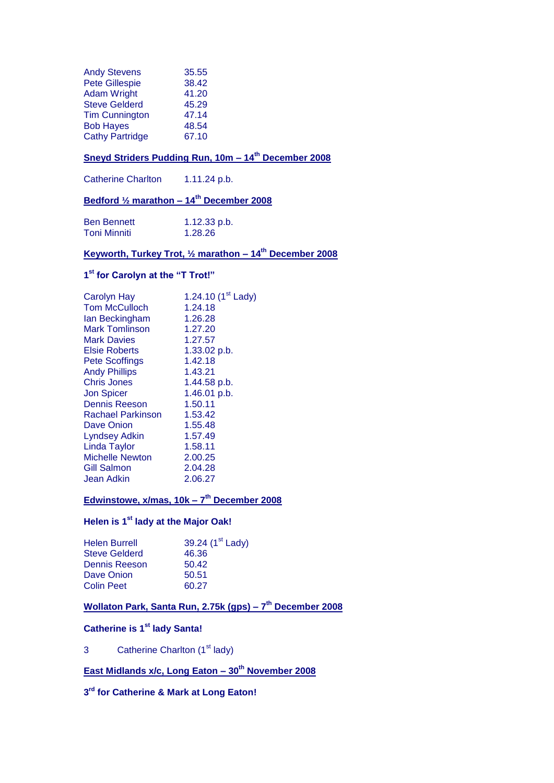| <b>Andy Stevens</b>    | 35.55 |
|------------------------|-------|
| <b>Pete Gillespie</b>  | 38.42 |
| <b>Adam Wright</b>     | 41.20 |
| <b>Steve Gelderd</b>   | 45.29 |
| <b>Tim Cunnington</b>  | 47.14 |
| <b>Bob Hayes</b>       | 48.54 |
| <b>Cathy Partridge</b> | 67.10 |

# **Sneyd Striders Pudding Run, 10m – 14th December 2008**

Catherine Charlton 1.11.24 p.b.

# **Bedford ½ marathon – 14th December 2008**

| <b>Ben Bennett</b> | 1.12.33 p.b. |
|--------------------|--------------|
| Toni Minniti       | 1.28.26      |

# **Keyworth, Turkey Trot, ½ marathon – 14th December 2008**

#### **1 st for Carolyn at the "T Trot!"**

| <b>Carolyn Hay</b>       | 1.24.10 $(1st$ Lady) |
|--------------------------|----------------------|
| <b>Tom McCulloch</b>     | 1.24.18              |
| lan Beckingham           | 1.26.28              |
| <b>Mark Tomlinson</b>    | 1.27.20              |
| <b>Mark Davies</b>       | 1.27.57              |
| <b>Elsie Roberts</b>     | 1.33.02 p.b.         |
| <b>Pete Scoffings</b>    | 1.42.18              |
| <b>Andy Phillips</b>     | 1.43.21              |
| Chris Jones              | 1.44.58 p.b.         |
| <b>Jon Spicer</b>        | 1.46.01 p.b.         |
| <b>Dennis Reeson</b>     | 1.50.11              |
| <b>Rachael Parkinson</b> | 1.53.42              |
| Dave Onion               | 1.55.48              |
| <b>Lyndsey Adkin</b>     | 1.57.49              |
| Linda Taylor             | 1.58.11              |
| <b>Michelle Newton</b>   | 2.00.25              |
| <b>Gill Salmon</b>       | 2.04.28              |
| Jean Adkin               | 2.06.27              |
|                          |                      |

### **Edwinstowe, x/mas, 10k – 7 th December 2008**

### **Helen is 1st lady at the Major Oak!**

| <b>Helen Burrell</b> | 39.24 (1 <sup>st</sup> Lady) |
|----------------------|------------------------------|
| <b>Steve Gelderd</b> | 46.36                        |
| Dennis Reeson        | 50.42                        |
| Dave Onion           | 50.51                        |
| <b>Colin Peet</b>    | 60.27                        |
|                      |                              |

#### **Wollaton Park, Santa Run, 2.75k (gps) – 7 th December 2008**

# **Catherine is 1st lady Santa!**

3 Catherine Charlton (1<sup>st</sup> lady)

# **East Midlands x/c, Long Eaton – 30th November 2008**

#### **3 rd for Catherine & Mark at Long Eaton!**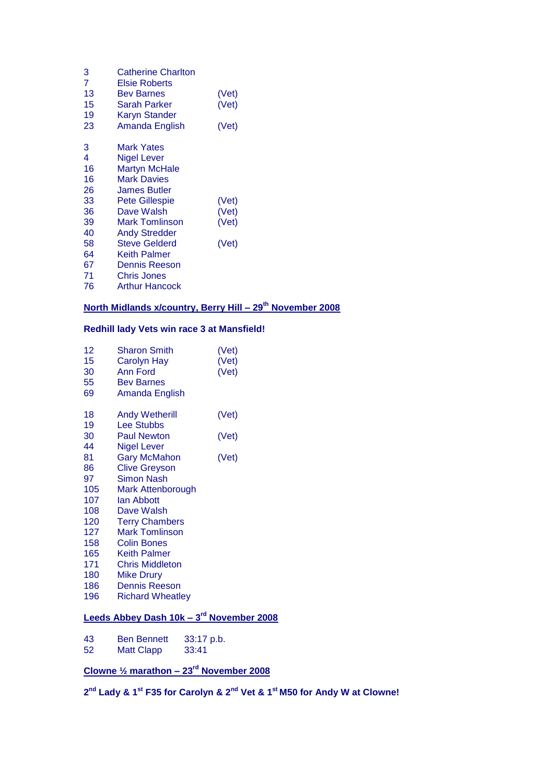| 3<br>7 | <b>Catherine Charlton</b><br>Elsie Roberts |       |
|--------|--------------------------------------------|-------|
| 13     | <b>Bev Barnes</b>                          | (Vet) |
| 15     | Sarah Parker                               | (Vet) |
| 19     | <b>Karyn Stander</b>                       |       |
| 23     | Amanda English                             | (Vet) |
| 3      | Mark Yates                                 |       |
| 4      | Nigel Lever                                |       |
| 16     | <b>Martyn McHale</b>                       |       |
| 16     | <b>Mark Davies</b>                         |       |
| 26     | James Butler                               |       |
| 33     | <b>Pete Gillespie</b>                      | (Vet) |
| 36     | Dave Walsh                                 | (Vet) |
| 39     | <b>Mark Tomlinson</b>                      | (Vet) |
| 40     | <b>Andy Stredder</b>                       |       |
| 58     | <b>Steve Gelderd</b>                       | (Vet) |
| 64     | Keith Palmer                               |       |
| 67     | Dennis Reeson                              |       |
| 71     | <b>Chris Jones</b>                         |       |
| 76     | <b>Arthur Hancock</b>                      |       |
|        |                                            |       |

# **North Midlands x/country, Berry Hill – 29th November 2008**

### **Redhill lady Vets win race 3 at Mansfield!**

| 12<br>15<br>30<br>55<br>69 | <b>Sharon Smith</b><br><b>Carolyn Hay</b><br><b>Ann Ford</b><br><b>Bev Barnes</b><br>Amanda English | (Vet)<br>(Vet)<br>(Vet) |
|----------------------------|-----------------------------------------------------------------------------------------------------|-------------------------|
| 18                         | <b>Andy Wetherill</b>                                                                               | (Vet)                   |
| 19                         | <b>Lee Stubbs</b>                                                                                   |                         |
| 30                         | <b>Paul Newton</b>                                                                                  | (Vet)                   |
| 44                         | <b>Nigel Lever</b>                                                                                  |                         |
| 81                         | <b>Gary McMahon</b>                                                                                 | (Vet)                   |
| 86                         | <b>Clive Greyson</b>                                                                                |                         |
| 97                         | <b>Simon Nash</b>                                                                                   |                         |
| 105                        | <b>Mark Attenborough</b>                                                                            |                         |
| 107                        | lan Abbott                                                                                          |                         |
| 108                        | Dave Walsh                                                                                          |                         |
| 120                        | <b>Terry Chambers</b>                                                                               |                         |
| 127                        | <b>Mark Tomlinson</b>                                                                               |                         |
| 158                        | <b>Colin Bones</b>                                                                                  |                         |
| 165                        | <b>Keith Palmer</b>                                                                                 |                         |
| 171                        | <b>Chris Middleton</b>                                                                              |                         |
| 180                        | <b>Mike Drury</b>                                                                                   |                         |
| 186                        | <b>Dennis Reeson</b>                                                                                |                         |
| 196                        | <b>Richard Wheatley</b>                                                                             |                         |
|                            |                                                                                                     |                         |

#### **Leeds Abbey Dash 10k – 3 rd November 2008**

| 43 | <b>Ben Bennett</b> | 33:17 p.b. |
|----|--------------------|------------|
| 52 | <b>Matt Clapp</b>  | 33:41      |

# **Clowne ½ marathon – 23rd November 2008**

**nd Lady & 1st F35 for Carolyn & 2nd Vet & 1st M50 for Andy W at Clowne!**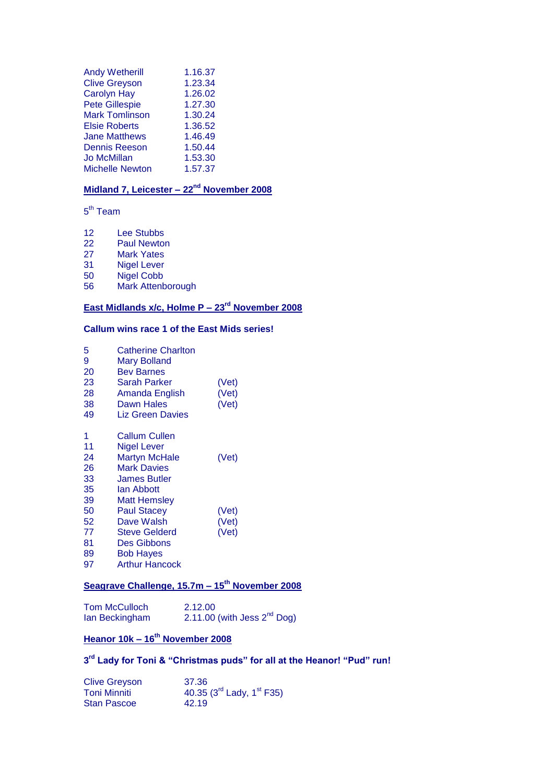| <b>Andy Wetherill</b>  | 1.16.37 |
|------------------------|---------|
| <b>Clive Greyson</b>   | 1.23.34 |
| <b>Carolyn Hay</b>     | 1.26.02 |
| <b>Pete Gillespie</b>  | 1.27.30 |
| <b>Mark Tomlinson</b>  | 1.30.24 |
| <b>Elsie Roberts</b>   | 1.36.52 |
| <b>Jane Matthews</b>   | 1.46.49 |
| <b>Dennis Reeson</b>   | 1.50.44 |
| <b>Jo McMillan</b>     | 1.53.30 |
| <b>Michelle Newton</b> | 1.57.37 |

### **Midland 7, Leicester – 22nd November 2008**

5<sup>th</sup> Team

- 12 Lee Stubbs
- 22 Paul Newton<br>27 Mark Yates
- **Mark Yates**
- 31 Nigel Lever<br>50 Nigel Cobb
- 50 Nigel Cobb<br>56 Mark Attenb
- Mark Attenborough

# **East Midlands x/c, Holme P – 23rd November 2008**

### **Callum wins race 1 of the East Mids series!**

| 5<br>9<br>20<br>23<br>28<br>38<br>49 | <b>Catherine Charlton</b><br><b>Mary Bolland</b><br>Bev Barnes<br>Sarah Parker<br>Amanda English<br>Dawn Hales<br>Liz Green Davies | (Vet)<br>(Vet)<br>(Vet) |
|--------------------------------------|------------------------------------------------------------------------------------------------------------------------------------|-------------------------|
| 1<br>11<br>24<br>26<br>33            | Callum Cullen<br>Nigel Lever<br><b>Martyn McHale</b><br><b>Mark Davies</b><br>James Butler                                         | (Vet)                   |
| 35<br>39<br>50<br>52<br>77           | lan Abbott<br><b>Matt Hemsley</b><br><b>Paul Stacey</b><br>Dave Walsh<br><b>Steve Gelderd</b>                                      | (Vet)<br>(Vet)<br>(Vet) |
| 81<br>89<br>97                       | Des Gibbons<br><b>Bob Hayes</b><br><b>Arthur Hancock</b>                                                                           |                         |

# **Seagrave Challenge, 15.7m – 15th November 2008**

Tom McCulloch 2.12.00<br>
lan Beckingham 2.11.00  $2.12.00$  (with Jess  $2<sup>nd</sup>$  Dog)

# **Heanor 10k – 16th November 2008**

#### **3 rd Lady for Toni & "Christmas puds" for all at the Heanor! "Pud" run!**

| <b>Clive Greyson</b> | 37.36                               |
|----------------------|-------------------------------------|
| <b>Toni Minniti</b>  | 40.35 $(3^{rd}$ Lady, $1^{st}$ F35) |
| <b>Stan Pascoe</b>   | 42.19                               |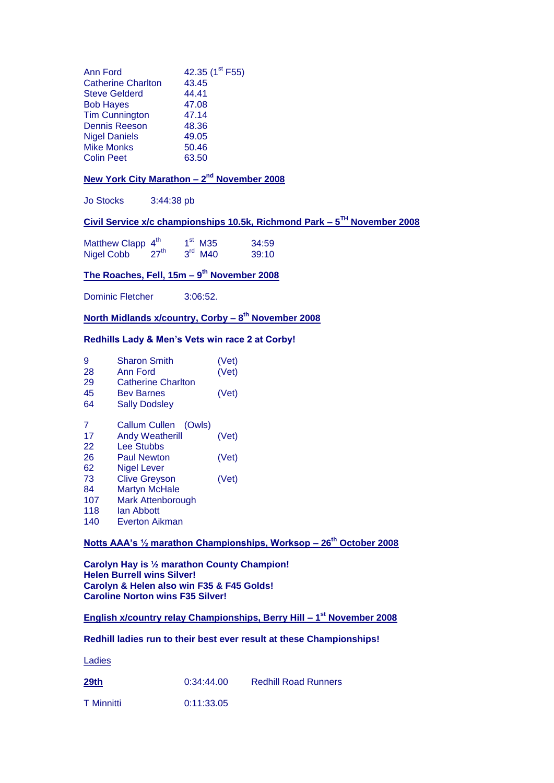| <b>Ann Ford</b>           | 42.35 (1 <sup>st</sup> F55) |
|---------------------------|-----------------------------|
| <b>Catherine Charlton</b> | 43.45                       |
| <b>Steve Gelderd</b>      | 44.41                       |
| <b>Bob Hayes</b>          | 47.08                       |
| <b>Tim Cunnington</b>     | 47.14                       |
| <b>Dennis Reeson</b>      | 48.36                       |
| <b>Nigel Daniels</b>      | 49.05                       |
| <b>Mike Monks</b>         | 50.46                       |
| <b>Colin Peet</b>         | 63.50                       |
|                           |                             |

#### **New York City Marathon - 2<sup>nd</sup> November 2008**

Jo Stocks 3:44:38 pb

#### **Civil Service x/c championships 10.5k, Richmond Park – 5 TH November 2008**

Matthew Clapp  $4<sup>th</sup>$  1 <sup>st</sup> M35 34:59<br><sup>rd</sup> M40 39:10  $Nigel Cobb 4\nNigel Cobb 27<sup>th</sup>$ 

#### **The Roaches, Fell, 15m – 9 th November 2008**

Dominic Fletcher 3:06:52.

**North Midlands x/country, Corby – 8 th November 2008**

#### **Redhills Lady & Men's Vets win race 2 at Corby!**

| 9   | <b>Sharon Smith</b>            | (Vet) |
|-----|--------------------------------|-------|
| 28  | Ann Ford                       | (Vet) |
| 29  | <b>Catherine Charlton</b>      |       |
| 45  | <b>Bev Barnes</b>              | (Vet) |
| 64  | <b>Sally Dodsley</b>           |       |
| 7   | <b>Callum Cullen</b><br>(Owls) |       |
| 17  | <b>Andy Weatherill</b>         | (Vet) |
| 22  | <b>Lee Stubbs</b>              |       |
| 26  | <b>Paul Newton</b>             | (Vet) |
| 62  | <b>Nigel Lever</b>             |       |
| 73  | <b>Clive Greyson</b>           | (Vet) |
| 84  | <b>Martyn McHale</b>           |       |
| 107 | Mark Attenborough              |       |
| 118 | lan Abbott                     |       |
| 140 | Everton Aikman                 |       |

### **Notts AAA's ½ marathon Championships, Worksop – 26th October 2008**

**Carolyn Hay is ½ marathon County Champion! Helen Burrell wins Silver! Carolyn & Helen also win F35 & F45 Golds! Caroline Norton wins F35 Silver!** 

**English x/country relay Championships, Berry Hill – 1 st November 2008**

#### **Redhill ladies run to their best ever result at these Championships!**

Ladies

**29th** 0:34:44.00 Redhill Road Runners

T Minnitti 0:11:33.05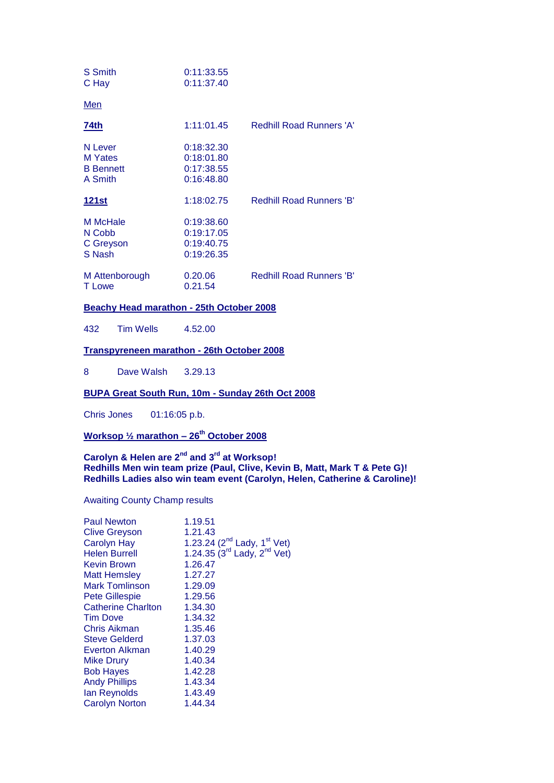| S Smith<br>C Hay                                  | 0:11:33.55<br>0:11:37.40                             |                                 |
|---------------------------------------------------|------------------------------------------------------|---------------------------------|
| <u>Men</u>                                        |                                                      |                                 |
| 74th                                              | 1:11:01.45                                           | <b>Redhill Road Runners 'A'</b> |
| N Lever<br>M Yates<br><b>B</b> Bennett<br>A Smith | 0:18:32.30<br>0:18:01.80<br>0:17:38.55<br>0:16:48.80 |                                 |
| <u> 121st</u>                                     | 1:18:02.75                                           | <b>Redhill Road Runners 'B'</b> |
| M McHale<br>N Cobb<br>C Greyson<br>S Nash         | 0:19:38.60<br>0:19:17.05<br>0:19:40.75<br>0:19:26.35 |                                 |
| M Attenborough<br>T Lowe                          | 0.20.06<br>0.21.54                                   | <b>Redhill Road Runners 'B'</b> |

#### **Beachy Head marathon - 25th October 2008**

432 Tim Wells 4.52.00

#### **Transpyreneen marathon - 26th October 2008**

8 Dave Walsh 3.29.13

#### **BUPA Great South Run, 10m - Sunday 26th Oct 2008**

Chris Jones 01:16:05 p.b.

### **Worksop ½ marathon – 26th October 2008**

#### **Carolyn & Helen are 2nd and 3rd at Worksop! Redhills Men win team prize (Paul, Clive, Kevin B, Matt, Mark T & Pete G)! Redhills Ladies also win team event (Carolyn, Helen, Catherine & Caroline)!**

#### Awaiting County Champ results

| <b>Paul Newton</b>        | 1.19.51                                                                                                    |
|---------------------------|------------------------------------------------------------------------------------------------------------|
|                           | 1.21.43                                                                                                    |
| <b>Clive Greyson</b>      |                                                                                                            |
| <b>Carolyn Hay</b>        |                                                                                                            |
| <b>Helen Burrell</b>      | 1.23.24 (2 <sup>nd</sup> Lady, 1 <sup>st</sup> Vet)<br>1.24.35 (3 <sup>rd</sup> Lady, 2 <sup>nd</sup> Vet) |
| Kevin Brown               | 1.26.47                                                                                                    |
| <b>Matt Hemsley</b>       | 1.27.27                                                                                                    |
| Mark Tomlinson            | 1.29.09                                                                                                    |
| <b>Pete Gillespie</b>     | 1.29.56                                                                                                    |
| <b>Catherine Charlton</b> | 1.34.30                                                                                                    |
| Tim Dove                  | 1.34.32                                                                                                    |
| Chris Aikman              | 1.35.46                                                                                                    |
| <b>Steve Gelderd</b>      | 1.37.03                                                                                                    |
| Everton Alkman            | 1.40.29                                                                                                    |
| <b>Mike Drury</b>         | 1.40.34                                                                                                    |
| <b>Bob Hayes</b>          | 1.42.28                                                                                                    |
| <b>Andy Phillips</b>      | 1.43.34                                                                                                    |
| lan Reynolds              | 1.43.49                                                                                                    |
| <b>Carolyn Norton</b>     | 1.44.34                                                                                                    |
|                           |                                                                                                            |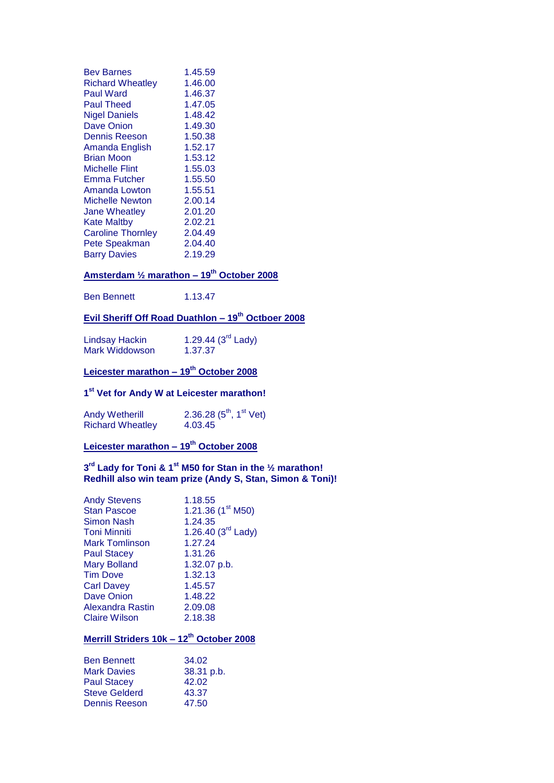| <b>Bev Barnes</b>        | 1.45.59 |
|--------------------------|---------|
| <b>Richard Wheatley</b>  | 1.46.00 |
| Paul Ward                | 1.46.37 |
| Paul Theed               | 1.47.05 |
| <b>Nigel Daniels</b>     | 1.48.42 |
| <b>Dave Onion</b>        | 1.49.30 |
| <b>Dennis Reeson</b>     | 1.50.38 |
| Amanda English           | 1.52.17 |
| Brian Moon               | 1.53.12 |
| Michelle Flint           | 1.55.03 |
| Emma Futcher             | 1.55.50 |
| Amanda Lowton            | 1.55.51 |
| Michelle Newton          | 2.00.14 |
| <b>Jane Wheatley</b>     | 2.01.20 |
| <b>Kate Maltby</b>       | 2.02.21 |
| <b>Caroline Thornley</b> | 2.04.49 |
| Pete Speakman            | 2.04.40 |
| <b>Barry Davies</b>      | 2.19.29 |

# **Amsterdam ½ marathon – 19th October 2008**

Ben Bennett 1.13.47

# **Evil Sheriff Off Road Duathlon – 19th Octboer 2008**

| <b>Lindsay Hackin</b> | 1.29.44 $(3rd$ Lady) |
|-----------------------|----------------------|
| Mark Widdowson        | 1.37.37              |

# **Leicester marathon – 19th October 2008**

#### **1 st Vet for Andy W at Leicester marathon!**

| <b>Andy Wetherill</b>   | 2.36.28 $(5^{th}, 1^{st}$ Vet) |
|-------------------------|--------------------------------|
| <b>Richard Wheatley</b> | 4.03.45                        |

# **Leicester marathon – 19th October 2008**

#### **3 rd Lady for Toni & 1st M50 for Stan in the ½ marathon! Redhill also win team prize (Andy S, Stan, Simon & Toni)!**

| <b>Andy Stevens</b> | 1.18.55                       |
|---------------------|-------------------------------|
| <b>Stan Pascoe</b>  | 1.21.36 $(1^{\text{st}}$ M50) |
| <b>Simon Nash</b>   | 1.24.35                       |
| <b>Toni Minniti</b> | 1.26.40 $(3rd$ Lady)          |
| Mark Tomlinson      | 1.27.24                       |
| <b>Paul Stacey</b>  | 1.31.26                       |
| <b>Mary Bolland</b> | 1.32.07 p.b.                  |
| Tim Dove            | 1.32.13                       |
| <b>Carl Davey</b>   | 1.45.57                       |
| <b>Dave Onion</b>   | 1.48.22                       |
| Alexandra Rastin    | 2.09.08                       |
| Claire Wilson       | 2.18.38                       |
|                     |                               |

# **Merrill Striders 10k – 12th October 2008**

| <b>Ben Bennett</b>   | 34.02      |
|----------------------|------------|
| <b>Mark Davies</b>   | 38.31 p.b. |
| <b>Paul Stacey</b>   | 42.02      |
| <b>Steve Gelderd</b> | 43.37      |
| <b>Dennis Reeson</b> | 47.50      |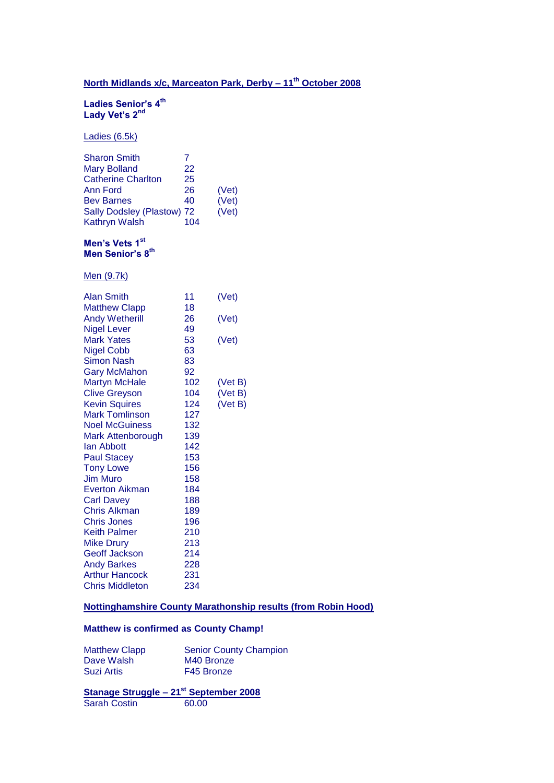# **North Midlands x/c, Marceaton Park, Derby – 11th October 2008**

#### **Ladies Senior's 4th Lady Vet's 2nd**

Ladies (6.5k)

| <b>Sharon Smith</b>        |     |       |
|----------------------------|-----|-------|
| <b>Mary Bolland</b>        | 22  |       |
| <b>Catherine Charlton</b>  | 25  |       |
| Ann Ford                   | 26  | (Vet) |
| <b>Bev Barnes</b>          | 40  | (Vet) |
| Sally Dodsley (Plastow) 72 |     | (Vet) |
| Kathryn Walsh              | 104 |       |

#### **Men's Vets 1st Men Senior's 8th**

Men (9.7k)

| <b>Alan Smith</b>      | 11  | (Vet)   |
|------------------------|-----|---------|
| <b>Matthew Clapp</b>   | 18  |         |
| <b>Andy Wetherill</b>  | 26  | (Vet)   |
| <b>Nigel Lever</b>     | 49  |         |
| <b>Mark Yates</b>      | 53  | (Vet)   |
| <b>Nigel Cobb</b>      | 63  |         |
| Simon Nash             | 83  |         |
| <b>Gary McMahon</b>    | 92  |         |
| Martyn McHale          | 102 | (Vet B) |
| <b>Clive Greyson</b>   | 104 | (Vet B) |
| <b>Kevin Squires</b>   | 124 | (Vet B) |
| <b>Mark Tomlinson</b>  | 127 |         |
| <b>Noel McGuiness</b>  | 132 |         |
| Mark Attenborough      | 139 |         |
| lan Abbott             | 142 |         |
| <b>Paul Stacey</b>     | 153 |         |
| <b>Tony Lowe</b>       | 156 |         |
| <b>Jim Muro</b>        | 158 |         |
| Everton Aikman         | 184 |         |
| <b>Carl Davey</b>      | 188 |         |
| Chris Alkman           | 189 |         |
| <b>Chris Jones</b>     | 196 |         |
| <b>Keith Palmer</b>    | 210 |         |
| <b>Mike Drury</b>      | 213 |         |
| <b>Geoff Jackson</b>   | 214 |         |
| <b>Andy Barkes</b>     | 228 |         |
| <b>Arthur Hancock</b>  | 231 |         |
| <b>Chris Middleton</b> | 234 |         |

#### **Nottinghamshire County Marathonship results (from Robin Hood)**

### **Matthew is confirmed as County Champ!**

| <b>Matthew Clapp</b> | <b>Senior County Champion</b> |
|----------------------|-------------------------------|
| Dave Walsh           | M40 Bronze                    |
| <b>Suzi Artis</b>    | F45 Bronze                    |

#### **Stanage Struggle – 21st September 2008** Sarah Costin 60.00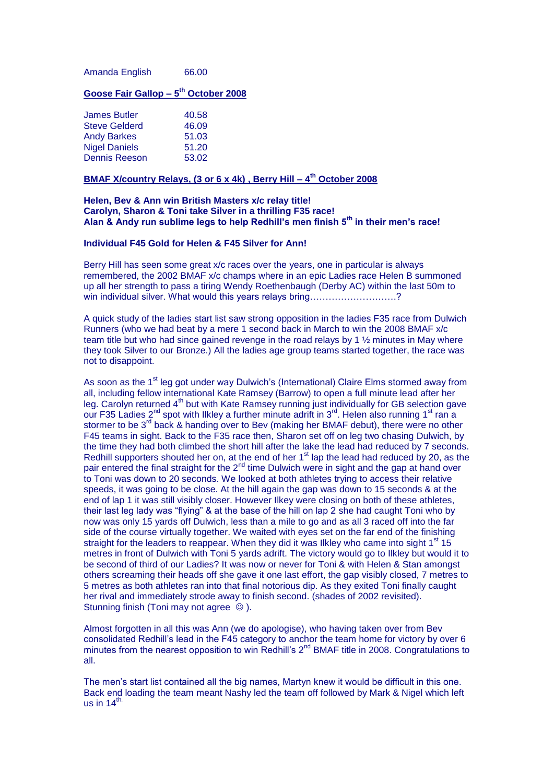Amanda English 66.00

#### **Goose Fair Gallop – 5 th October 2008**

| <b>James Butler</b>  | 40.58 |
|----------------------|-------|
| <b>Steve Gelderd</b> | 46.09 |
| <b>Andy Barkes</b>   | 51.03 |
| <b>Nigel Daniels</b> | 51.20 |
| <b>Dennis Reeson</b> | 53.02 |

#### **BMAF X/country Relays, (3 or 6 x 4k) , Berry Hill – 4 th October 2008**

#### **Helen, Bev & Ann win British Masters x/c relay title! Carolyn, Sharon & Toni take Silver in a thrilling F35 race! Alan & Andy run sublime legs to help Redhill's men finish 5th in their men's race!**

#### **Individual F45 Gold for Helen & F45 Silver for Ann!**

Berry Hill has seen some great x/c races over the years, one in particular is always remembered, the 2002 BMAF x/c champs where in an epic Ladies race Helen B summoned up all her strength to pass a tiring Wendy Roethenbaugh (Derby AC) within the last 50m to win individual silver. What would this years relays bring………………………………?

A quick study of the ladies start list saw strong opposition in the ladies F35 race from Dulwich Runners (who we had beat by a mere 1 second back in March to win the 2008 BMAF x/c team title but who had since gained revenge in the road relays by 1  $\frac{1}{2}$  minutes in May where they took Silver to our Bronze.) All the ladies age group teams started together, the race was not to disappoint.

As soon as the 1<sup>st</sup> leg got under way Dulwich's (International) Claire Elms stormed away from all, including fellow international Kate Ramsey (Barrow) to open a full minute lead after her leg. Carolyn returned 4<sup>th</sup> but with Kate Ramsey running just individually for GB selection gave our F35 Ladies 2<sup>nd</sup> spot with Ilkley a further minute adrift in 3<sup>rd</sup>. Helen also running 1<sup>st</sup> ran a stormer to be 3<sup>rd</sup> back & handing over to Bey (making her BMAF debut), there were no other F45 teams in sight. Back to the F35 race then, Sharon set off on leg two chasing Dulwich, by the time they had both climbed the short hill after the lake the lead had reduced by 7 seconds. Redhill supporters shouted her on, at the end of her  $1<sup>st</sup>$  lap the lead had reduced by 20, as the pair entered the final straight for the 2<sup>nd</sup> time Dulwich were in sight and the gap at hand over to Toni was down to 20 seconds. We looked at both athletes trying to access their relative speeds, it was going to be close. At the hill again the gap was down to 15 seconds & at the end of lap 1 it was still visibly closer. However Ilkey were closing on both of these athletes, their last leg lady was "flying" & at the base of the hill on lap 2 she had caught Toni who by now was only 15 yards off Dulwich, less than a mile to go and as all 3 raced off into the far side of the course virtually together. We waited with eyes set on the far end of the finishing straight for the leaders to reappear. When they did it was likley who came into sight  $1<sup>st</sup> 15$ metres in front of Dulwich with Toni 5 yards adrift. The victory would go to Ilkley but would it to be second of third of our Ladies? It was now or never for Toni & with Helen & Stan amongst others screaming their heads off she gave it one last effort, the gap visibly closed, 7 metres to 5 metres as both athletes ran into that final notorious dip. As they exited Toni finally caught her rival and immediately strode away to finish second. (shades of 2002 revisited). Stunning finish (Toni may not agree  $\odot$ ).

Almost forgotten in all this was Ann (we do apologise), who having taken over from Bev consolidated Redhill's lead in the F45 category to anchor the team home for victory by over 6 minutes from the nearest opposition to win Redhill's 2<sup>nd</sup> BMAF title in 2008. Congratulations to all.

The men's start list contained all the big names, Martyn knew it would be difficult in this one. Back end loading the team meant Nashy led the team off followed by Mark & Nigel which left us in  $14<sup>th</sup>$ .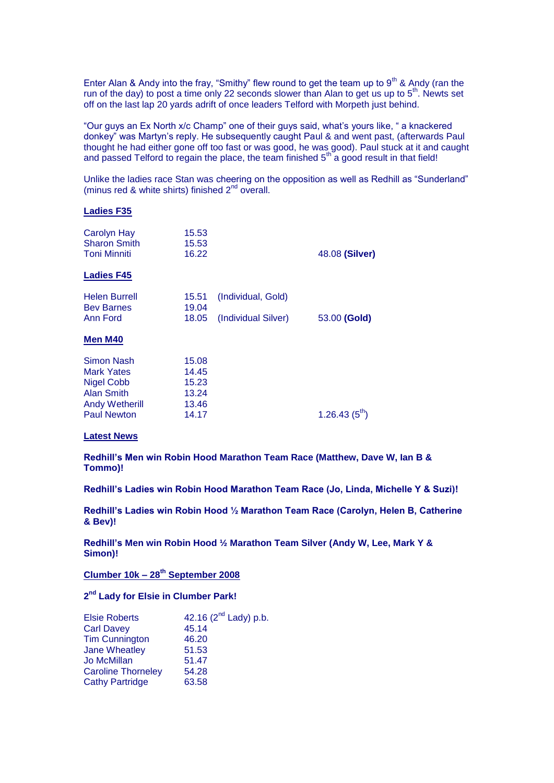Enter Alan & Andy into the fray, "Smithy" flew round to get the team up to  $9<sup>th</sup>$  & Andy (ran the run of the day) to post a time only 22 seconds slower than Alan to get us up to  $5<sup>th</sup>$ . Newts set off on the last lap 20 yards adrift of once leaders Telford with Morpeth just behind.

"Our guys an Ex North x/c Champ" one of their guys said, what's yours like, " a knackered donkey" was Martyn's reply. He subsequently caught Paul & and went past, (afterwards Paul thought he had either gone off too fast or was good, he was good). Paul stuck at it and caught and passed Telford to regain the place, the team finished  $5<sup>th</sup>$  a good result in that field!

Unlike the ladies race Stan was cheering on the opposition as well as Redhill as "Sunderland" (minus red & white shirts) finished  $2^{nd}$  overall.

#### **Ladies F35**

| <b>Carolyn Hay</b><br><b>Sharon Smith</b><br><b>Toni Minniti</b> | 15.53<br>15.53<br>16.22 |                     | 48.08 (Silver)     |
|------------------------------------------------------------------|-------------------------|---------------------|--------------------|
| <b>Ladies F45</b>                                                |                         |                     |                    |
| <b>Helen Burrell</b><br><b>Bev Barnes</b>                        | 15.51<br>19.04          | (Individual, Gold)  |                    |
| Ann Ford                                                         | 18.05                   | (Individual Silver) | 53.00 (Gold)       |
| Men M40                                                          |                         |                     |                    |
| Simon Nash                                                       | 15.08                   |                     |                    |
| <b>Mark Yates</b>                                                | 14.45                   |                     |                    |
| <b>Nigel Cobb</b>                                                | 15.23                   |                     |                    |
| <b>Alan Smith</b>                                                | 13.24                   |                     |                    |
| <b>Andy Wetherill</b>                                            | 13.46                   |                     |                    |
| <b>Paul Newton</b>                                               | 14.17                   |                     | 1.26.43 $(5^{th})$ |

#### **Latest News**

**Redhill's Men win Robin Hood Marathon Team Race (Matthew, Dave W, Ian B & Tommo)!**

**Redhill's Ladies win Robin Hood Marathon Team Race (Jo, Linda, Michelle Y & Suzi)!** 

**Redhill's Ladies win Robin Hood ½ Marathon Team Race (Carolyn, Helen B, Catherine & Bev)!**

**Redhill's Men win Robin Hood ½ Marathon Team Silver (Andy W, Lee, Mark Y & Simon)!**

**Clumber 10k – 28th September 2008**

#### **2 nd Lady for Elsie in Clumber Park!**

| <b>Elsie Roberts</b>      | 42.16 (2 <sup>nd</sup> Lady) p.b. |
|---------------------------|-----------------------------------|
| <b>Carl Davey</b>         | 45.14                             |
| <b>Tim Cunnington</b>     | 46.20                             |
| <b>Jane Wheatley</b>      | 51.53                             |
| Jo McMillan               | 51.47                             |
| <b>Caroline Thorneley</b> | 54.28                             |
| <b>Cathy Partridge</b>    | 63.58                             |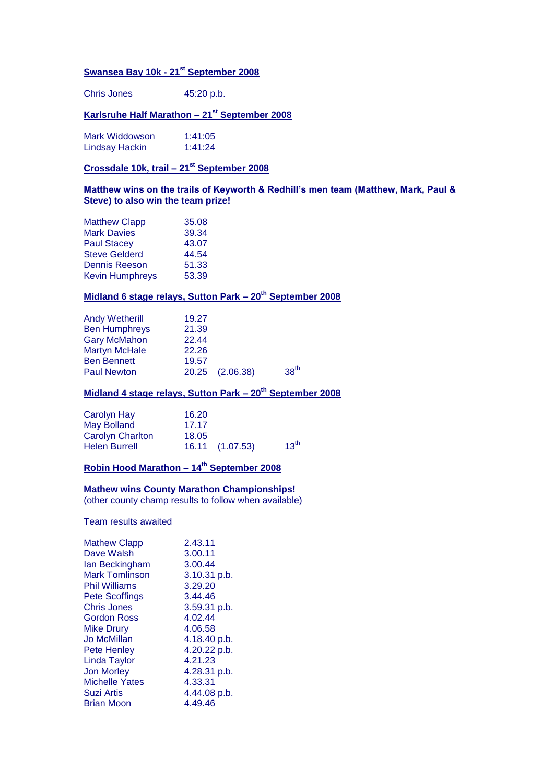# **Swansea Bay 10k - 21st September 2008**

Chris Jones 45:20 p.b.

### **Karlsruhe Half Marathon – 21st September 2008**

| Mark Widdowson        | 1:41:05 |
|-----------------------|---------|
| <b>Lindsay Hackin</b> | 1:41:24 |

### **Crossdale 10k, trail – 21st September 2008**

#### **Matthew wins on the trails of Keyworth & Redhill's men team (Matthew, Mark, Paul & Steve) to also win the team prize!**

| <b>Matthew Clapp</b>   | 35.08 |
|------------------------|-------|
| <b>Mark Davies</b>     | 39.34 |
| <b>Paul Stacey</b>     | 43.07 |
| <b>Steve Gelderd</b>   | 44.54 |
| <b>Dennis Reeson</b>   | 51.33 |
| <b>Kevin Humphreys</b> | 53.39 |
|                        |       |

### **Midland 6 stage relays, Sutton Park – 20th September 2008**

| <b>Andy Wetherill</b><br><b>Ben Humphreys</b>                     | 19.27<br>21.39<br>22.44 |                 |                  |
|-------------------------------------------------------------------|-------------------------|-----------------|------------------|
| <b>Gary McMahon</b><br><b>Martyn McHale</b><br><b>Ben Bennett</b> | 22.26<br>19.57          |                 |                  |
| <b>Paul Newton</b>                                                |                         | 20.25 (2.06.38) | 38 <sup>th</sup> |

### **Midland 4 stage relays, Sutton Park – 20th September 2008**

| Carolyn Hay             | 16.20 |                 |                  |
|-------------------------|-------|-----------------|------------------|
| May Bolland             | 17.17 |                 |                  |
| <b>Carolyn Charlton</b> | 18.05 |                 |                  |
| <b>Helen Burrell</b>    |       | 16.11 (1.07.53) | 13 <sup>th</sup> |

### **Robin Hood Marathon – 14th September 2008**

#### **Mathew wins County Marathon Championships!**

(other county champ results to follow when available)

Team results awaited

| <b>Mathew Clapp</b>   | 2.43.11      |
|-----------------------|--------------|
| Dave Walsh            | 3.00.11      |
| lan Beckingham        | 3.00.44      |
| <b>Mark Tomlinson</b> | 3.10.31 p.b. |
| <b>Phil Williams</b>  | 3.29.20      |
| <b>Pete Scoffings</b> | 3.44.46      |
| <b>Chris Jones</b>    | 3.59.31 p.b. |
| Gordon Ross           | 4.02.44      |
| <b>Mike Drury</b>     | 4.06.58      |
| Jo McMillan           | 4.18.40 p.b. |
| <b>Pete Henley</b>    | 4.20.22 p.b. |
| <b>Linda Taylor</b>   | 4.21.23      |
| <b>Jon Morley</b>     | 4.28.31 p.b. |
| <b>Michelle Yates</b> | 4.33.31      |
| Suzi Artis            | 4.44.08 p.b. |
| <b>Brian Moon</b>     | 4.49.46      |
|                       |              |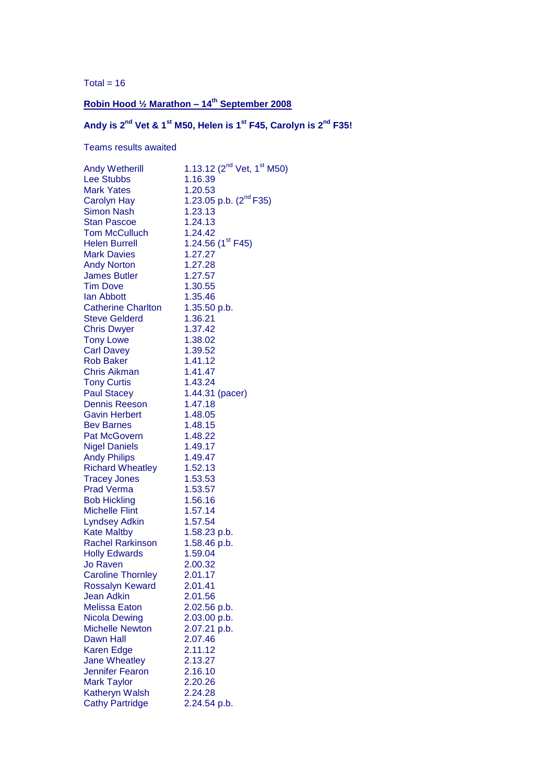Total =  $16$ 

# **Robin Hood ½ Marathon – 14th September 2008**

**Andy is 2nd Vet & 1st M50, Helen is 1st F45, Carolyn is 2nd F35!**

Teams results awaited

| <b>Andy Wetherill</b>     | 1.13.12 ( $2^{nd}$ Vet, 1 <sup>st</sup> M50) |
|---------------------------|----------------------------------------------|
| <b>Lee Stubbs</b>         | 1.16.39                                      |
| <b>Mark Yates</b>         | 1.20.53                                      |
| <b>Carolyn Hay</b>        | 1.23.05 p.b. (2 <sup>nd</sup> F35)           |
| <b>Simon Nash</b>         | 1.23.13                                      |
| <b>Stan Pascoe</b>        | 1.24.13                                      |
| <b>Tom McCulluch</b>      | 1.24.42                                      |
| <b>Helen Burrell</b>      | 1.24.56 $(1^{\text{st}}$ F45)                |
| <b>Mark Davies</b>        | 1.27.27                                      |
| <b>Andy Norton</b>        | 1.27.28                                      |
| <b>James Butler</b>       | 1.27.57                                      |
| <b>Tim Dove</b>           | 1.30.55                                      |
| lan Abbott                | 1.35.46                                      |
| <b>Catherine Charlton</b> | 1.35.50 p.b.                                 |
| <b>Steve Gelderd</b>      | 1.36.21                                      |
| <b>Chris Dwyer</b>        | 1.37.42                                      |
| <b>Tony Lowe</b>          | 1.38.02                                      |
| <b>Carl Davey</b>         | 1.39.52                                      |
| <b>Rob Baker</b>          | 1.41.12                                      |
| <b>Chris Aikman</b>       | 1.41.47                                      |
| <b>Tony Curtis</b>        | 1.43.24                                      |
| <b>Paul Stacey</b>        | 1.44.31 (pacer)                              |
| <b>Dennis Reeson</b>      | 1.47.18                                      |
| <b>Gavin Herbert</b>      | 1.48.05                                      |
| <b>Bev Barnes</b>         | 1.48.15                                      |
| <b>Pat McGovern</b>       | 1.48.22                                      |
| <b>Nigel Daniels</b>      | 1.49.17                                      |
| <b>Andy Philips</b>       | 1.49.47                                      |
| <b>Richard Wheatley</b>   | 1.52.13                                      |
| <b>Tracey Jones</b>       | 1.53.53                                      |
| <b>Prad Verma</b>         | 1.53.57                                      |
| <b>Bob Hickling</b>       | 1.56.16                                      |
| <b>Michelle Flint</b>     | 1.57.14                                      |
| <b>Lyndsey Adkin</b>      | 1.57.54                                      |
| <b>Kate Maltby</b>        | 1.58.23 p.b.                                 |
| <b>Rachel Rarkinson</b>   | 1.58.46 p.b.                                 |
| <b>Holly Edwards</b>      | 1.59.04                                      |
| <b>Jo Raven</b>           | 2.00.32                                      |
| <b>Caroline Thornley</b>  | 2.01.17                                      |
| <b>Rossalyn Keward</b>    | 2.01.41                                      |
| <b>Jean Adkin</b>         | 2.01.56                                      |
| <b>Melissa Eaton</b>      | 2.02.56 p.b.                                 |
| <b>Nicola Dewing</b>      | 2.03.00 p.b.                                 |
| <b>Michelle Newton</b>    | 2.07.21 p.b.                                 |
| Dawn Hall                 | 2.07.46                                      |
| <b>Karen Edge</b>         | 2.11.12                                      |
| <b>Jane Wheatley</b>      | 2.13.27                                      |
| <b>Jennifer Fearon</b>    | 2.16.10                                      |
| <b>Mark Taylor</b>        | 2.20.26                                      |
| <b>Katheryn Walsh</b>     | 2.24.28                                      |
| <b>Cathy Partridge</b>    | 2.24.54 p.b.                                 |
|                           |                                              |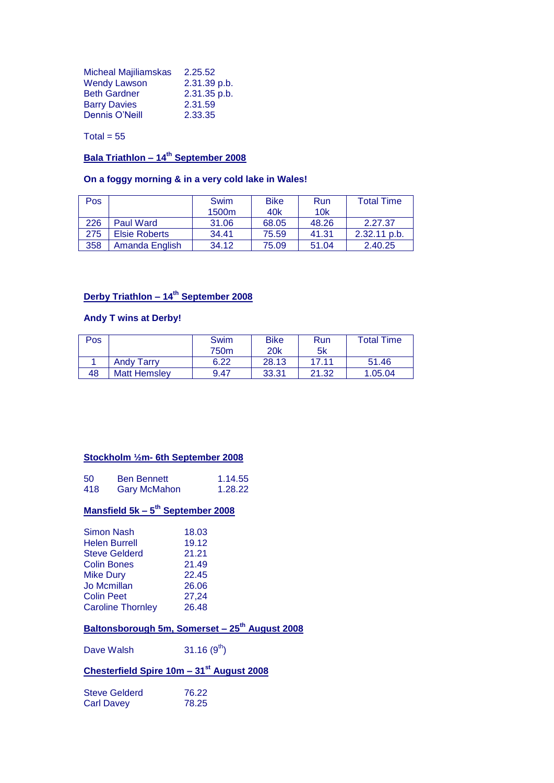| <b>Micheal Majiliamskas</b> | 2.25.52      |
|-----------------------------|--------------|
| <b>Wendy Lawson</b>         | 2.31.39 p.b. |
| <b>Beth Gardner</b>         | 2.31.35 p.b. |
| <b>Barry Davies</b>         | 2.31.59      |
| <b>Dennis O'Neill</b>       | 2.33.35      |

Total =  $55$ 

# **Bala Triathlon – 14th September 2008**

### **On a foggy morning & in a very cold lake in Wales!**

| <b>Pos</b> |                      | Swim<br>1500 <sub>m</sub> | <b>Bike</b><br>40 <sub>k</sub> | Run<br>10k | <b>Total Time</b> |
|------------|----------------------|---------------------------|--------------------------------|------------|-------------------|
| 226        | Paul Ward            | 31.06                     | 68.05                          | 48.26      | 2.27.37           |
| 275        | <b>Elsie Roberts</b> | 34.41                     | 75.59                          | 41.31      | $2.32.11$ p.b.    |
| 358        | Amanda English       | 34.12                     | 75.09                          | 51.04      | 2.40.25           |

# **Derby Triathlon – 14th September 2008**

#### **Andy T wins at Derby!**

| <b>Pos</b> |                     | Swim | <b>Bike</b> | Run   | Total Time |
|------------|---------------------|------|-------------|-------|------------|
|            |                     | 750m | <b>20k</b>  | 5k    |            |
|            | <b>Andy Tarry</b>   | 6.22 | 28.13       | 17.11 | 51.46      |
| 48         | <b>Matt Hemslev</b> | 9.47 | 33.31       | 21.32 | 1.05.04    |

#### **Stockholm ½m- 6th September 2008**

| 50  | <b>Ben Bennett</b>  | 1.14.55 |
|-----|---------------------|---------|
| 418 | <b>Gary McMahon</b> | 1.28.22 |

#### **Mansfield 5k – 5 th September 2008**

| 19.12 |
|-------|
|       |
| 21.21 |
| 21.49 |
| 22.45 |
| 26.06 |
| 27,24 |
| 26.48 |
|       |

# **Baltonsborough 5m, Somerset – 25th August 2008**

Dave Walsh  $31.16 (9<sup>th</sup>)$ 

# **Chesterfield Spire 10m – 31st August 2008**

| <b>Steve Gelderd</b> | 76.22 |
|----------------------|-------|
| Carl Davey           | 78.25 |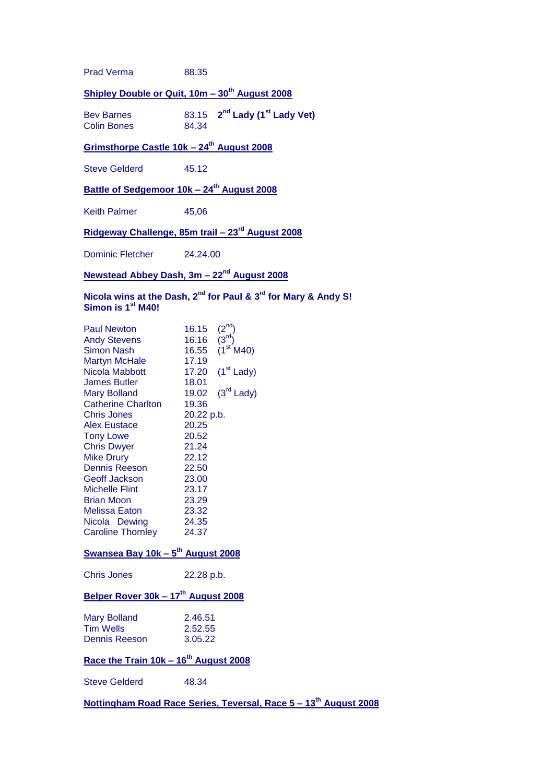Prad Verma 88.35

### **Shipley Double or Quit, 10m – 30th August 2008**

Bev Barnes **nd Lady (1st Lady Vet)** Colin Bones

### **Grimsthorpe Castle 10k – 24th August 2008**

Steve Gelderd 45.12

### **Battle of Sedgemoor 10k – 24th August 2008**

Keith Palmer 45,06

### **Ridgeway Challenge, 85m trail – 23rd August 2008**

Dominic Fletcher 24.24.00

### **Newstead Abbey Dash, 3m – 22nd August 2008**

### **Nicola wins at the Dash, 2nd for Paul & 3rd for Mary & Andy S! Simon is 1st M40!**

| <b>Paul Newton</b>                              | 16.15      | (2 <sup>nd</sup> )    |  |
|-------------------------------------------------|------------|-----------------------|--|
| <b>Andy Stevens</b>                             | 16.16      | (3 <sup>rd</sup> )    |  |
| <b>Simon Nash</b>                               | 16.55      | (1 <sup>st</sup> M40) |  |
| <b>Martyn McHale</b>                            | 17.19      |                       |  |
| Nicola Mabbott                                  | 17.20      | $(1st$ Lady)          |  |
| <b>James Butler</b>                             | 18.01      |                       |  |
| <b>Mary Bolland</b>                             | 19.02      | $(3rd$ Lady)          |  |
| <b>Catherine Charlton</b>                       | 19.36      |                       |  |
| <b>Chris Jones</b>                              | 20.22 p.b. |                       |  |
| <b>Alex Eustace</b>                             | 20.25      |                       |  |
| <b>Tony Lowe</b>                                | 20.52      |                       |  |
| <b>Chris Dwyer</b>                              | 21.24      |                       |  |
| <b>Mike Drury</b>                               | 22.12      |                       |  |
| Dennis Reeson                                   | 22.50      |                       |  |
| <b>Geoff Jackson</b>                            | 23.00      |                       |  |
| <b>Michelle Flint</b>                           | 23.17      |                       |  |
| <b>Brian Moon</b>                               | 23.29      |                       |  |
| Melissa Eaton                                   | 23.32      |                       |  |
| Nicola Dewing                                   | 24.35      |                       |  |
| <b>Caroline Thornley</b>                        | 24.37      |                       |  |
| Swansea Bay 10k - 5 <sup>th</sup> August 2008   |            |                       |  |
| <b>Chris Jones</b>                              | 22.28 p.b. |                       |  |
| Belper Rover 30k - 17 <sup>th</sup> August 2008 |            |                       |  |
| <b>Mary Bolland</b>                             | 2.46.51    |                       |  |
| <b>Tim Wells</b>                                | 2.52.55    |                       |  |

| <b>Tim Wells</b>     | 2.52.55 |
|----------------------|---------|
| <b>Dennis Reeson</b> | 3.05.22 |

# **Race the Train 10k – 16th August 2008**

Steve Gelderd 48.34

### **Nottingham Road Race Series, Teversal, Race 5 – 13th August 2008**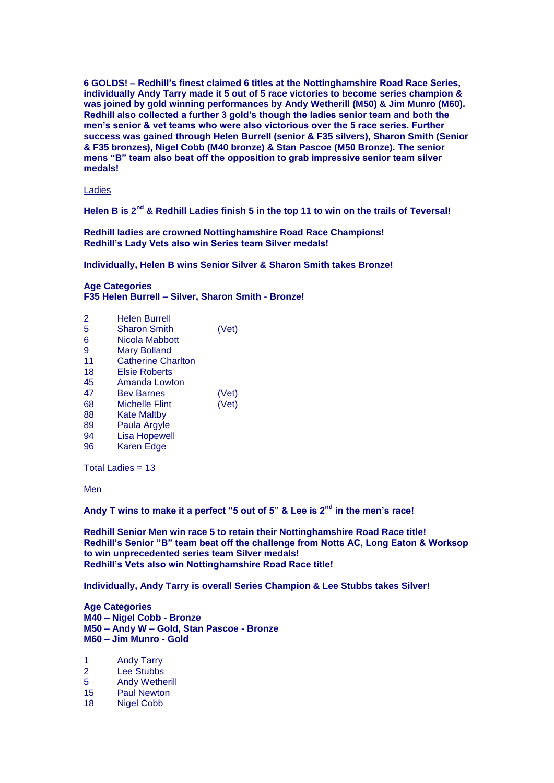**6 GOLDS! – Redhill's finest claimed 6 titles at the Nottinghamshire Road Race Series, individually Andy Tarry made it 5 out of 5 race victories to become series champion & was joined by gold winning performances by Andy Wetherill (M50) & Jim Munro (M60). Redhill also collected a further 3 gold's though the ladies senior team and both the men's senior & vet teams who were also victorious over the 5 race series. Further success was gained through Helen Burrell (senior & F35 silvers), Sharon Smith (Senior & F35 bronzes), Nigel Cobb (M40 bronze) & Stan Pascoe (M50 Bronze). The senior mens "B" team also beat off the opposition to grab impressive senior team silver medals!** 

Ladies

**Helen B is 2nd & Redhill Ladies finish 5 in the top 11 to win on the trails of Teversal!**

**Redhill ladies are crowned Nottinghamshire Road Race Champions! Redhill's Lady Vets also win Series team Silver medals!**

**Individually, Helen B wins Senior Silver & Sharon Smith takes Bronze!** 

### **Age Categories**

**F35 Helen Burrell – Silver, Sharon Smith - Bronze!**

| 2  | Helen Burrell             |       |
|----|---------------------------|-------|
| 5  | <b>Sharon Smith</b>       | (Vet) |
| 6  | Nicola Mabbott            |       |
| 9  | Mary Bolland              |       |
| 11 | <b>Catherine Charlton</b> |       |
| 18 | Elsie Roberts             |       |
| 45 | Amanda Lowton             |       |
| 47 | <b>Bev Barnes</b>         | (Vet) |
| 68 | Michelle Flint            | (Vet) |
| 88 | Kate Maltby               |       |
| 89 | Paula Argyle              |       |
| 94 | <b>Lisa Hopewell</b>      |       |
| 96 | <b>Karen Edge</b>         |       |
|    |                           |       |

Total Ladies  $= 13$ 

Men

**Andy T wins to make it a perfect "5 out of 5" & Lee is 2nd in the men's race!**

**Redhill Senior Men win race 5 to retain their Nottinghamshire Road Race title! Redhill's Senior "B" team beat off the challenge from Notts AC, Long Eaton & Worksop to win unprecedented series team Silver medals! Redhill's Vets also win Nottinghamshire Road Race title!**

**Individually, Andy Tarry is overall Series Champion & Lee Stubbs takes Silver!**

**Age Categories M40 – Nigel Cobb - Bronze M50 – Andy W – Gold, Stan Pascoe - Bronze M60 – Jim Munro - Gold**

- 1 Andy Tarry
- 2 Lee Stubbs
- 5 Andy Wetherill
- 15 Paul Newton
- 18 Nigel Cobb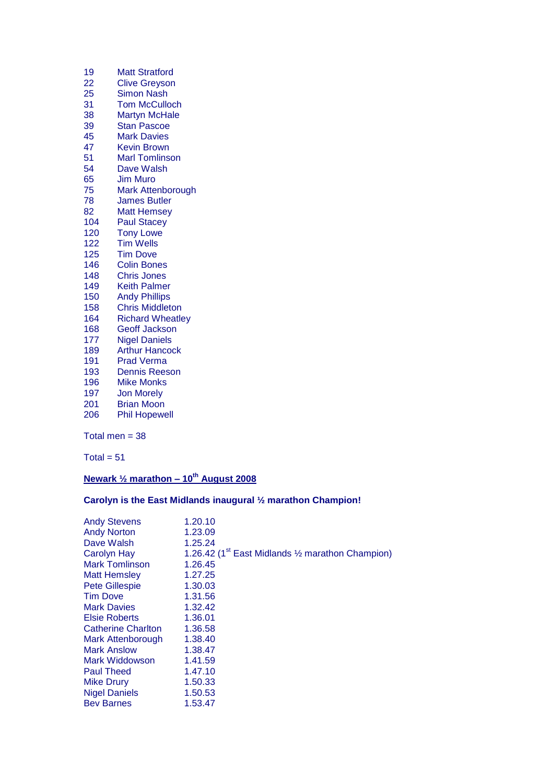| 19  | <b>Matt Stratford</b>   |
|-----|-------------------------|
| 22  | <b>Clive Greyson</b>    |
| 25  | <b>Simon Nash</b>       |
| 31  | <b>Tom McCulloch</b>    |
| 38  | <b>Martyn McHale</b>    |
| 39  | <b>Stan Pascoe</b>      |
| 45  | <b>Mark Davies</b>      |
| 47  | <b>Kevin Brown</b>      |
| 51  | <b>Marl Tomlinson</b>   |
| 54  | Dave Walsh              |
| 65  | Jim Muro                |
| 75  | Mark Attenborough       |
| 78  | <b>James Butler</b>     |
| 82  | <b>Matt Hemsey</b>      |
| 104 | <b>Paul Stacey</b>      |
| 120 | <b>Tony Lowe</b>        |
| 122 | <b>Tim Wells</b>        |
| 125 | <b>Tim Dove</b>         |
| 146 | <b>Colin Bones</b>      |
| 148 | <b>Chris Jones</b>      |
| 149 | <b>Keith Palmer</b>     |
| 150 | <b>Andy Phillips</b>    |
| 158 | <b>Chris Middleton</b>  |
| 164 | <b>Richard Wheatley</b> |
| 168 | Geoff Jackson           |
| 177 | <b>Nigel Daniels</b>    |
| 189 | <b>Arthur Hancock</b>   |
| 191 | <b>Prad Verma</b>       |
| 193 | <b>Dennis Reeson</b>    |
| 196 | Mike Monks              |
| 197 | <b>Jon Morely</b>       |
| 201 | <b>Brian Moon</b>       |
| 206 | <b>Phil Hopewell</b>    |
|     |                         |

Total men  $= 38$ 

 $Total = 51$ 

# **Newark ½ marathon – 10th August 2008**

# **Carolyn is the East Midlands inaugural ½ marathon Champion!**

| <b>Andy Stevens</b>       | 1.20.10                                                        |
|---------------------------|----------------------------------------------------------------|
| <b>Andy Norton</b>        | 1.23.09                                                        |
| Dave Walsh                | 1.25.24                                                        |
| <b>Carolyn Hay</b>        | 1.26.42 ( $1st$ East Midlands $\frac{1}{2}$ marathon Champion) |
| <b>Mark Tomlinson</b>     | 1.26.45                                                        |
| <b>Matt Hemsley</b>       | 1.27.25                                                        |
| <b>Pete Gillespie</b>     | 1.30.03                                                        |
| <b>Tim Dove</b>           | 1.31.56                                                        |
| <b>Mark Davies</b>        | 1.32.42                                                        |
| <b>Elsie Roberts</b>      | 1.36.01                                                        |
| <b>Catherine Charlton</b> | 1.36.58                                                        |
| Mark Attenborough         | 1.38.40                                                        |
| <b>Mark Anslow</b>        | 1.38.47                                                        |
| Mark Widdowson            | 1.41.59                                                        |
| <b>Paul Theed</b>         | 1.47.10                                                        |
| <b>Mike Drury</b>         | 1.50.33                                                        |
| <b>Nigel Daniels</b>      | 1.50.53                                                        |
| <b>Bev Barnes</b>         | 1.53.47                                                        |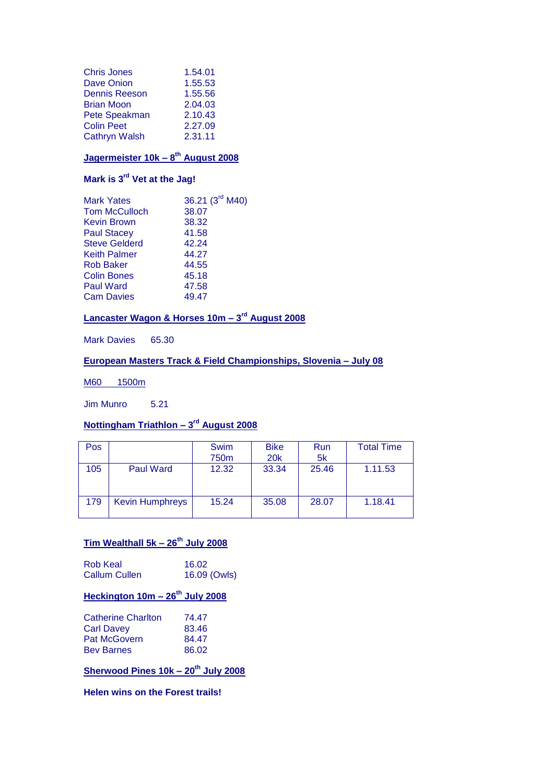| <b>Chris Jones</b>   | 1.54.01 |
|----------------------|---------|
| <b>Dave Onion</b>    | 1.55.53 |
| <b>Dennis Reeson</b> | 1.55.56 |
| <b>Brian Moon</b>    | 2.04.03 |
| Pete Speakman        | 2.10.43 |
| <b>Colin Peet</b>    | 2.27.09 |
| <b>Cathryn Walsh</b> | 2.31.11 |

#### **Jagermeister 10k – 8 th August 2008**

# **Mark is 3rd Vet at the Jag!**

| 36.21 (3 <sup>rd</sup> M40) |
|-----------------------------|
| 38.07                       |
| 38.32                       |
| 41.58                       |
| 42.24                       |
| 44.27                       |
| 44.55                       |
| 45.18                       |
| 47.58                       |
| 49.47                       |
|                             |

#### **Lancaster Wagon & Horses 10m – 3 rd August 2008**

Mark Davies 65.30

#### **European Masters Track & Field Championships, Slovenia – July 08**

M60 1500m

Jim Munro 5.21

#### **Nottingham Triathlon – 3 rd August 2008**

| Pos |                        | <b>Swim</b><br>750m | <b>Bike</b><br><b>20k</b> | Run<br>5k | <b>Total Time</b> |
|-----|------------------------|---------------------|---------------------------|-----------|-------------------|
| 105 | <b>Paul Ward</b>       | 12.32               | 33.34                     | 25.46     | 1.11.53           |
| 179 | <b>Kevin Humphreys</b> | 15.24               | 35.08                     | 28.07     | 1.18.41           |

# **Tim Wealthall 5k – 26th July 2008**

| Rob Keal             | 16.02        |
|----------------------|--------------|
| <b>Callum Cullen</b> | 16.09 (Owls) |

# **Heckington 10m – 26th July 2008**

| 74.47 |
|-------|
| 83.46 |
| 84.47 |
| 86.02 |
|       |

**Sherwood Pines 10k – 20th July 2008**

**Helen wins on the Forest trails!**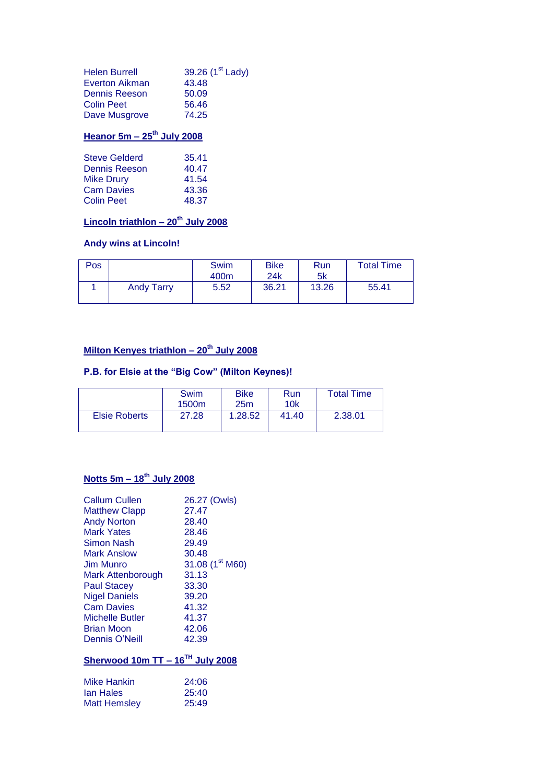| <b>Helen Burrell</b> | 39.26 (1 <sup>st</sup> Lady) |
|----------------------|------------------------------|
| Everton Aikman       | 43.48                        |
| Dennis Reeson        | 50.09                        |
| <b>Colin Peet</b>    | 56.46                        |
| Dave Musgrove        | 74.25                        |

# **Heanor 5m – 25th July 2008**

| <b>Steve Gelderd</b> | 35.41 |
|----------------------|-------|
| Dennis Reeson        | 40.47 |
| <b>Mike Drury</b>    | 41.54 |
| <b>Cam Davies</b>    | 43.36 |
| <b>Colin Peet</b>    | 48.37 |

# **Lincoln triathlon – 20th July 2008**

### **Andy wins at Lincoln!**

| Pos |                   | Swim<br>400 <sub>m</sub> | <b>Bike</b><br>24k | Run<br>5k | <b>Total Time</b> |
|-----|-------------------|--------------------------|--------------------|-----------|-------------------|
|     | <b>Andy Tarry</b> | 5.52                     | 36.21              | 13.26     | 55.41             |

# **Milton Kenyes triathlon – 20th July 2008**

### **P.B. for Elsie at the "Big Cow" (Milton Keynes)!**

|                      | Swim<br>1500m | <b>Bike</b><br>25m | Run<br>10k | <b>Total Time</b> |
|----------------------|---------------|--------------------|------------|-------------------|
| <b>Elsie Roberts</b> | 27.28         | 1.28.52            | 41.40      | 2.38.01           |

# **Notts 5m – 18th July 2008**

| <b>Callum Cullen</b>                  | 26.27 (Owls)                |
|---------------------------------------|-----------------------------|
| <b>Matthew Clapp</b>                  | 27.47                       |
| <b>Andy Norton</b>                    | 28.40                       |
| <b>Mark Yates</b>                     | 28.46                       |
| Simon Nash                            | 29.49                       |
| <b>Mark Anslow</b>                    | 30.48                       |
| <b>Jim Munro</b>                      | 31.08 (1 <sup>st</sup> M60) |
| <b>Mark Attenborough</b>              | 31.13                       |
| <b>Paul Stacey</b>                    | 33.30                       |
| <b>Nigel Daniels</b>                  | 39.20                       |
| <b>Cam Davies</b>                     | 41.32                       |
| Michelle Butler                       | 41.37                       |
| Brian Moon                            | 42.06                       |
| Dennis O'Neill                        | 42.39                       |
| Sherwood 10m TT - $16^{TH}$ July 2008 |                             |
|                                       |                             |
| Mike Hankin                           | 24:06                       |
| lan Hales                             | 25:40                       |
| <b>Matt Hemsley</b>                   | 25:49                       |
|                                       |                             |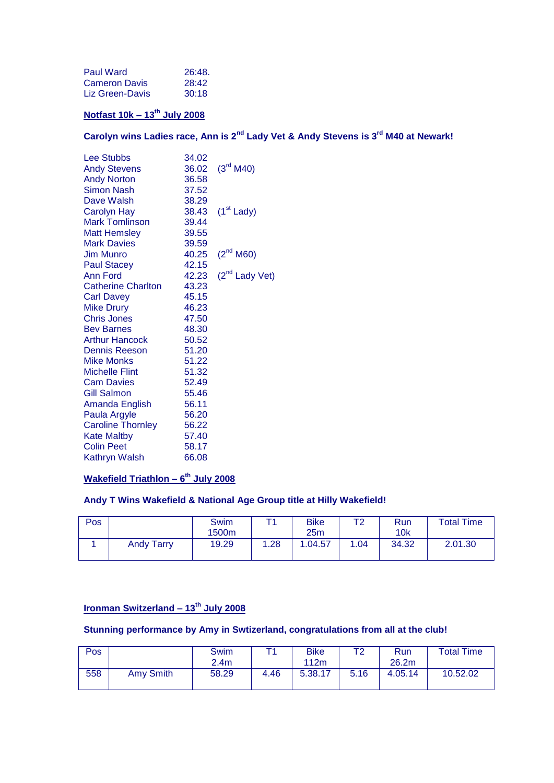| <b>Paul Ward</b>     | 26:48. |
|----------------------|--------|
| <b>Cameron Davis</b> | 28:42  |
| Liz Green-Davis      | 30:18  |

# **Notfast 10k – 13th July 2008**

**Carolyn wins Ladies race, Ann is 2nd Lady Vet & Andy Stevens is 3rd M40 at Newark!** 

| <b>Lee Stubbs</b>                       | 34.02 |                            |
|-----------------------------------------|-------|----------------------------|
|                                         | 36.02 | $(3^{\text{rd}} M40)$      |
| <b>Andy Stevens</b>                     | 36.58 |                            |
| <b>Andy Norton</b><br><b>Simon Nash</b> |       |                            |
|                                         | 37.52 |                            |
| Dave Walsh                              | 38.29 |                            |
| <b>Carolyn Hay</b>                      | 38.43 | $(1st$ Lady)               |
| <b>Mark Tomlinson</b>                   | 39.44 |                            |
| <b>Matt Hemsley</b>                     | 39.55 |                            |
| <b>Mark Davies</b>                      | 39.59 |                            |
| <b>Jim Munro</b>                        | 40.25 | $(2^{nd}$ M60)             |
| <b>Paul Stacey</b>                      | 42.15 |                            |
| Ann Ford                                | 42.23 | (2 <sup>nd</sup> Lady Vet) |
| <b>Catherine Charlton</b>               | 43.23 |                            |
| <b>Carl Davey</b>                       | 45.15 |                            |
| <b>Mike Drury</b>                       | 46.23 |                            |
| <b>Chris Jones</b>                      | 47.50 |                            |
| <b>Bev Barnes</b>                       | 48.30 |                            |
| <b>Arthur Hancock</b>                   | 50.52 |                            |
| <b>Dennis Reeson</b>                    | 51.20 |                            |
| <b>Mike Monks</b>                       | 51.22 |                            |
| <b>Michelle Flint</b>                   | 51.32 |                            |
| <b>Cam Davies</b>                       | 52.49 |                            |
| <b>Gill Salmon</b>                      | 55.46 |                            |
| Amanda English                          | 56.11 |                            |
| Paula Argyle                            | 56.20 |                            |
| <b>Caroline Thornley</b>                | 56.22 |                            |
| <b>Kate Maltby</b>                      | 57.40 |                            |
| <b>Colin Peet</b>                       | 58.17 |                            |
| <b>Kathryn Walsh</b>                    | 66.08 |                            |
|                                         |       |                            |

#### **Wakefield Triathlon – 6 th July 2008**

#### **Andy T Wins Wakefield & National Age Group title at Hilly Wakefield!**

| Pos |                   | <b>Swim</b><br>1500m |      | <b>Bike</b><br>25m | エっ   | Run<br>10k | <b>Total Time</b> |
|-----|-------------------|----------------------|------|--------------------|------|------------|-------------------|
|     | <b>Andy Tarry</b> | 19.29                | 1.28 | .04.57             | 1.04 | 34.32      | 2.01.30           |

# **Ironman Switzerland – 13th July 2008**

### **Stunning performance by Amy in Swtizerland, congratulations from all at the club!**

| Pos |           | Swim             | ᅮ    | <b>Bike</b> | то   | Run     | <b>Total Time</b> |
|-----|-----------|------------------|------|-------------|------|---------|-------------------|
|     |           | 2.4 <sub>m</sub> |      | 112m        |      | 26.2m   |                   |
| 558 | Amy Smith | 58.29            | 4.46 | 5.38.17     | 5.16 | 4.05.14 | 10.52.02          |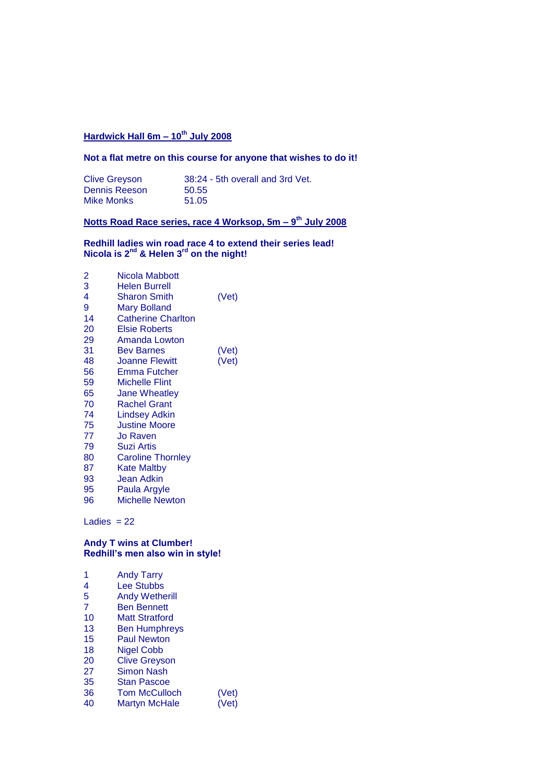# **Hardwick Hall 6m – 10th July 2008**

#### **Not a flat metre on this course for anyone that wishes to do it!**

| <b>Clive Greyson</b> | 38:24 - 5th overall and 3rd Vet. |
|----------------------|----------------------------------|
| Dennis Reeson        | 50.55                            |
| Mike Monks           | 51.05                            |

#### **Notts Road Race series, race 4 Worksop, 5m – 9 th July 2008**

#### **Redhill ladies win road race 4 to extend their series lead! Nicola is 2nd & Helen 3rd on the night!**

| 2<br>3 | Nicola Mabbott<br>Helen Burrell |       |
|--------|---------------------------------|-------|
| 4      | <b>Sharon Smith</b>             | (Vet) |
| 9      | <b>Mary Bolland</b>             |       |
| 14     | <b>Catherine Charlton</b>       |       |
| 20     | <b>Elsie Roberts</b>            |       |
| 29     | Amanda Lowton                   |       |
| 31     | <b>Bev Barnes</b>               | (Vet) |
| 48     | <b>Joanne Flewitt</b>           | (Vet) |
| 56     | Emma Futcher                    |       |
| 59     | <b>Michelle Flint</b>           |       |
| 65     | <b>Jane Wheatley</b>            |       |
| 70     | <b>Rachel Grant</b>             |       |
| 74     | <b>Lindsey Adkin</b>            |       |
| 75     | <b>Justine Moore</b>            |       |
| 77     | Jo Raven                        |       |
| 79     | <b>Suzi Artis</b>               |       |
| 80     | <b>Caroline Thornley</b>        |       |
| 87     | Kate Maltby                     |       |
| 93     | Jean Adkin                      |       |
| 95     | Paula Argyle                    |       |
| 96     | <b>Michelle Newton</b>          |       |

Ladies  $= 22$ 

#### **Andy T wins at Clumber! Redhill's men also win in style!**

| <b>Andy Tarry</b>     |       |
|-----------------------|-------|
| <b>Lee Stubbs</b>     |       |
| <b>Andy Wetherill</b> |       |
| <b>Ben Bennett</b>    |       |
| <b>Matt Stratford</b> |       |
| <b>Ben Humphreys</b>  |       |
| <b>Paul Newton</b>    |       |
| <b>Nigel Cobb</b>     |       |
| <b>Clive Greyson</b>  |       |
| Simon Nash            |       |
| <b>Stan Pascoe</b>    |       |
| <b>Tom McCulloch</b>  | (Vet) |
| Martyn McHale         | (Vet) |
|                       |       |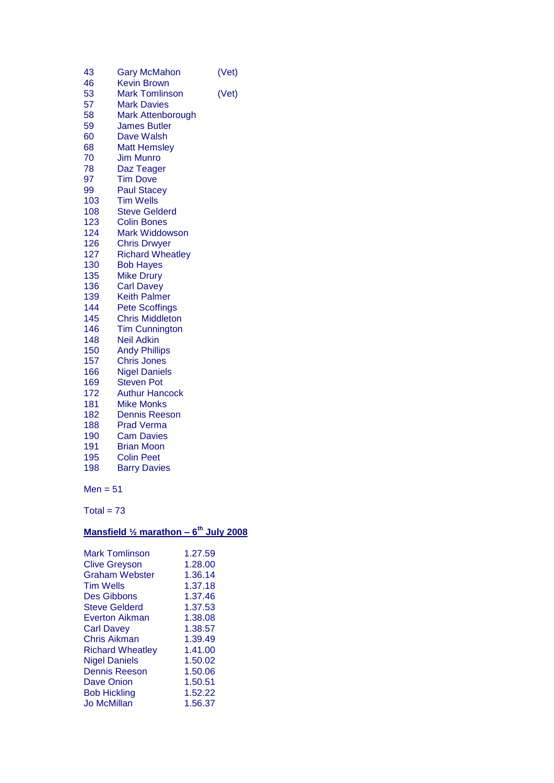| 43           | <b>Gary McMahon</b>     | (Vet) |
|--------------|-------------------------|-------|
| 46           | <b>Kevin Brown</b>      |       |
| 53           | <b>Mark Tomlinson</b>   | (Vet) |
| 57           | <b>Mark Davies</b>      |       |
| 58           | Mark Attenborough       |       |
| 59           | <b>James Butler</b>     |       |
| 60           | Dave Walsh              |       |
| 68           | <b>Matt Hemsley</b>     |       |
| 70           | <b>Jim Munro</b>        |       |
| 78           | Daz Teager              |       |
| 97           | <b>Tim Dove</b>         |       |
| 99           | <b>Paul Stacey</b>      |       |
| 103          | <b>Tim Wells</b>        |       |
| 108          | <b>Steve Gelderd</b>    |       |
| 123          | <b>Colin Bones</b>      |       |
| 124          | Mark Widdowson          |       |
| 126          | <b>Chris Drwyer</b>     |       |
| 127          | <b>Richard Wheatley</b> |       |
| 130          | <b>Bob Hayes</b>        |       |
| 135          | <b>Mike Drury</b>       |       |
| 136          | <b>Carl Davey</b>       |       |
| 139          | <b>Keith Palmer</b>     |       |
| 144          | <b>Pete Scoffings</b>   |       |
| 145          | <b>Chris Middleton</b>  |       |
| 146          | <b>Tim Cunnington</b>   |       |
| 148          | <b>Neil Adkin</b>       |       |
| 150          | <b>Andy Phillips</b>    |       |
| 157          | <b>Chris Jones</b>      |       |
| 166          | <b>Nigel Daniels</b>    |       |
| 169          | <b>Steven Pot</b>       |       |
| 172          | <b>Authur Hancock</b>   |       |
| 181          | <b>Mike Monks</b>       |       |
| 182          | <b>Dennis Reeson</b>    |       |
| 188          | <b>Prad Verma</b>       |       |
| 190          | <b>Cam Davies</b>       |       |
| 191          | <b>Brian Moon</b>       |       |
| 195          | <b>Colin Peet</b>       |       |
| 198          | <b>Barry Davies</b>     |       |
| Men = 51     |                         |       |
| Total = $73$ |                         |       |
|              |                         |       |

### **Mansfield ½ marathon – 6 th July 2008**

| 1.27.59 |
|---------|
| 1.28.00 |
| 1.36.14 |
| 1.37.18 |
| 1.37.46 |
| 1.37.53 |
| 1.38.08 |
| 1.38.57 |
| 1.39.49 |
| 1.41.00 |
| 1.50.02 |
| 1.50.06 |
| 1.50.51 |
| 1.52.22 |
| 1.56.37 |
|         |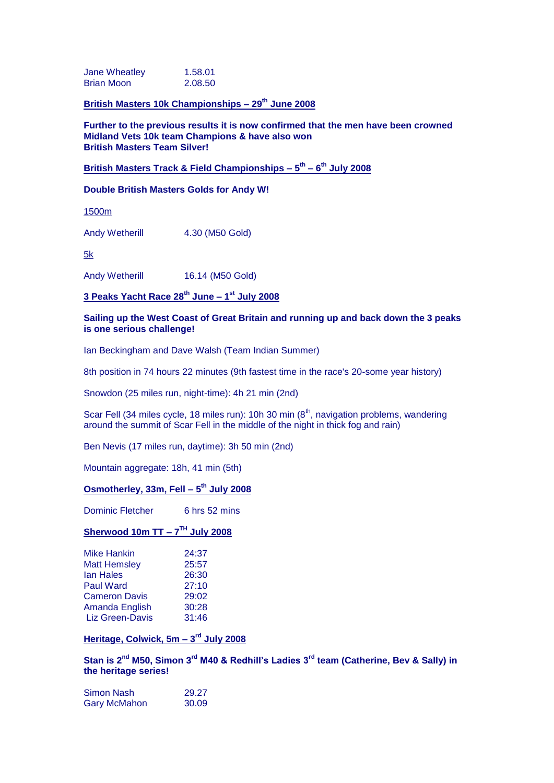Jane Wheatley 1.58.01 Brian Moon 2.08.50

**British Masters 10k Championships – 29th June 2008**

**Further to the previous results it is now confirmed that the men have been crowned Midland Vets 10k team Champions & have also won British Masters Team Silver!**

#### **British Masters Track & Field Championships – 5 th – 6 th July 2008**

#### **Double British Masters Golds for Andy W!**

1500m

Andy Wetherill 4.30 (M50 Gold)

5k

Andy Wetherill 16.14 (M50 Gold)

**3 Peaks Yacht Race 28th June – 1 st July 2008**

#### **Sailing up the West Coast of Great Britain and running up and back down the 3 peaks is one serious challenge!**

Ian Beckingham and Dave Walsh (Team Indian Summer)

8th position in 74 hours 22 minutes (9th fastest time in the race's 20-some year history)

Snowdon (25 miles run, night-time): 4h 21 min (2nd)

Scar Fell (34 miles cycle, 18 miles run): 10h 30 min (8<sup>th</sup>, navigation problems, wandering around the summit of Scar Fell in the middle of the night in thick fog and rain)

Ben Nevis (17 miles run, daytime): 3h 50 min (2nd)

Mountain aggregate: 18h, 41 min (5th)

#### **Osmotherley, 33m, Fell – 5 th July 2008**

Dominic Fletcher 6 hrs 52 mins

#### **Sherwood 10m TT – 7 TH July 2008**

| <b>Mike Hankin</b>     | 24:37 |
|------------------------|-------|
| <b>Matt Hemsley</b>    | 25:57 |
| <b>lan Hales</b>       | 26:30 |
| <b>Paul Ward</b>       | 27:10 |
| <b>Cameron Davis</b>   | 29:02 |
| Amanda English         | 30:28 |
| <b>Liz Green-Davis</b> | 31:46 |

#### **Heritage, Colwick, 5m – 3 rd July 2008**

**Stan is 2nd M50, Simon 3rd M40 & Redhill's Ladies 3rd team (Catherine, Bev & Sally) in the heritage series!**

| Simon Nash          | 29.27 |
|---------------------|-------|
| <b>Gary McMahon</b> | 30.09 |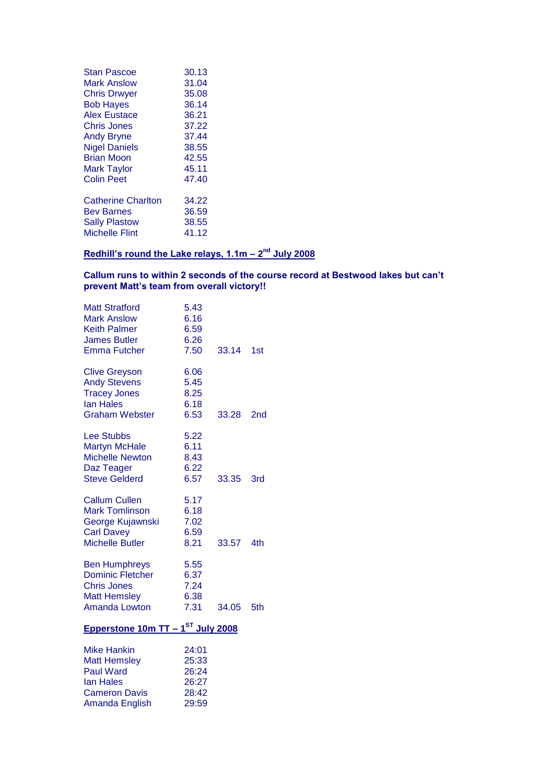| 30.13 |
|-------|
| 31.04 |
| 35.08 |
| 36.14 |
| 36.21 |
| 37.22 |
| 37.44 |
| 38.55 |
| 42.55 |
| 45.11 |
| 47.40 |
| 34.22 |
| 36.59 |
| 38.55 |
| 41.12 |
|       |

#### **Redhill's round the Lake relays, 1.1m - 2<sup>nd</sup> July 2008**

#### **Callum runs to within 2 seconds of the course record at Bestwood lakes but can't prevent Matt's team from overall victory!!**

| <b>Matt Stratford</b><br><b>Mark Anslow</b><br><b>Keith Palmer</b><br><b>James Butler</b><br><b>Emma Futcher</b>     | 5.43<br>6.16<br>6.59<br>6.26<br>7.50               | 33.14 | 1st |
|----------------------------------------------------------------------------------------------------------------------|----------------------------------------------------|-------|-----|
| <b>Clive Greyson</b><br><b>Andy Stevens</b><br><b>Tracey Jones</b><br>lan Hales<br><b>Graham Webster</b>             | 6.06<br>5.45<br>8.25<br>6.18<br>6.53               | 33.28 | 2nd |
| <b>Lee Stubbs</b><br><b>Martyn McHale</b><br><b>Michelle Newton</b><br>Daz Teager<br><b>Steve Gelderd</b>            | 5.22<br>6.11<br>8.43<br>6.22<br>6.57               | 33.35 | 3rd |
| <b>Callum Cullen</b><br><b>Mark Tomlinson</b><br>George Kujawnski<br><b>Carl Davey</b><br><b>Michelle Butler</b>     | 5.17<br>6.18<br>7.02<br>6.59<br>8.21               | 33.57 | 4th |
| <b>Ben Humphreys</b><br><b>Dominic Fletcher</b><br><b>Chris Jones</b><br><b>Matt Hemsley</b><br><b>Amanda Lowton</b> | 5.55<br>6.37<br>7.24<br>6.38<br>7.31               | 34.05 | 5th |
| Epperstone 10m TT - 1 <sup>ST</sup> July 2008                                                                        |                                                    |       |     |
| Mike Hankin<br><b>Matt Hemsley</b><br><b>Paul Ward</b><br><b>lan Hales</b><br><b>Cameron Davis</b><br>Amanda English | 24:01<br>25:33<br>26:24<br>26:27<br>28:42<br>29:59 |       |     |